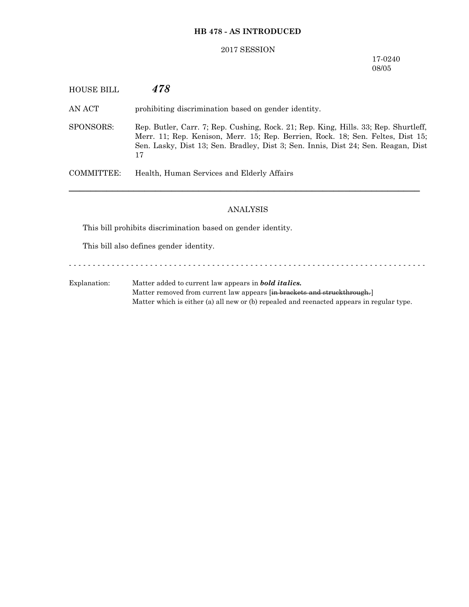## **HB 478 - AS INTRODUCED**

## 2017 SESSION

## 17-0240 08/05

| HOUSE BILL | 478                                                                                                                                                                                                                                                               |
|------------|-------------------------------------------------------------------------------------------------------------------------------------------------------------------------------------------------------------------------------------------------------------------|
| AN ACT     | prohibiting discrimination based on gender identity.                                                                                                                                                                                                              |
| SPONSORS:  | Rep. Butler, Carr. 7; Rep. Cushing, Rock. 21; Rep. King, Hills. 33; Rep. Shurtleff,<br>Merr. 11; Rep. Kenison, Merr. 15; Rep. Berrien, Rock. 18; Sen. Feltes, Dist 15;<br>Sen. Lasky, Dist 13; Sen. Bradley, Dist 3; Sen. Innis, Dist 24; Sen. Reagan, Dist<br>17 |
| COMMITTEE: | Health, Human Services and Elderly Affairs                                                                                                                                                                                                                        |
|            |                                                                                                                                                                                                                                                                   |

# ANALYSIS

This bill prohibits discrimination based on gender identity.

This bill also defines gender identity.

- - - - - - - - - - - - - - - - - - - - - - - - - - - - - - - - - - - - - - - - - - - - - - - - - - - - - - - - - - - - - - - - - - - - - - - - - - -

Explanation: Matter added to current law appears in *bold italics.* Matter removed from current law appears [in brackets and struckthrough.] Matter which is either (a) all new or (b) repealed and reenacted appears in regular type.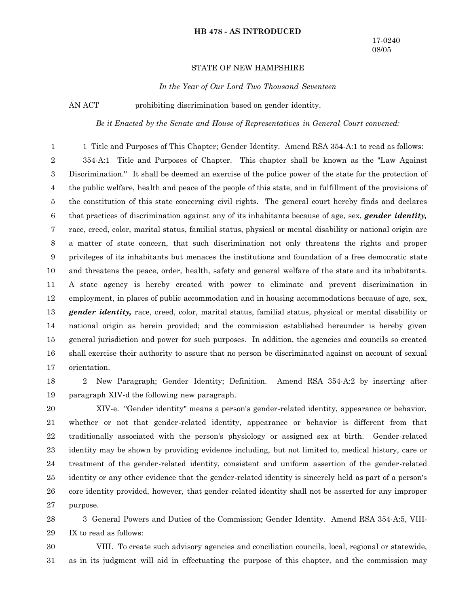#### **HB 478 - AS INTRODUCED**

## STATE OF NEW HAMPSHIRE

*In the Year of Our Lord Two Thousand Seventeen*

AN ACT prohibiting discrimination based on gender identity.

*Be it Enacted by the Senate and House of Representatives in General Court convened:*

1 Title and Purposes of This Chapter; Gender Identity. Amend RSA 354-A:1 to read as follows: 354-A:1 Title and Purposes of Chapter. This chapter shall be known as the "Law Against Discrimination.'' It shall be deemed an exercise of the police power of the state for the protection of the public welfare, health and peace of the people of this state, and in fulfillment of the provisions of the constitution of this state concerning civil rights. The general court hereby finds and declares that practices of discrimination against any of its inhabitants because of age, sex, *gender identity,* race, creed, color, marital status, familial status, physical or mental disability or national origin are a matter of state concern, that such discrimination not only threatens the rights and proper privileges of its inhabitants but menaces the institutions and foundation of a free democratic state and threatens the peace, order, health, safety and general welfare of the state and its inhabitants. A state agency is hereby created with power to eliminate and prevent discrimination in employment, in places of public accommodation and in housing accommodations because of age, sex, *gender identity,* race, creed, color, marital status, familial status, physical or mental disability or national origin as herein provided; and the commission established hereunder is hereby given general jurisdiction and power for such purposes. In addition, the agencies and councils so created shall exercise their authority to assure that no person be discriminated against on account of sexual orientation. 1 2 3 4 5 6 7 8 9 10 11 12 13 14 15 16 17

2 New Paragraph; Gender Identity; Definition. Amend RSA 354-A:2 by inserting after paragraph XIV-d the following new paragraph. 18 19

XIV-e. "Gender identity" means a person's gender-related identity, appearance or behavior, whether or not that gender-related identity, appearance or behavior is different from that traditionally associated with the person's physiology or assigned sex at birth. Gender-related identity may be shown by providing evidence including, but not limited to, medical history, care or treatment of the gender-related identity, consistent and uniform assertion of the gender-related identity or any other evidence that the gender-related identity is sincerely held as part of a person's core identity provided, however, that gender-related identity shall not be asserted for any improper purpose. 20 21 22 23 24 25 26 27

3 General Powers and Duties of the Commission; Gender Identity. Amend RSA 354-A:5, VIII-IX to read as follows: 28 29

VIII. To create such advisory agencies and conciliation councils, local, regional or statewide, as in its judgment will aid in effectuating the purpose of this chapter, and the commission may 30 31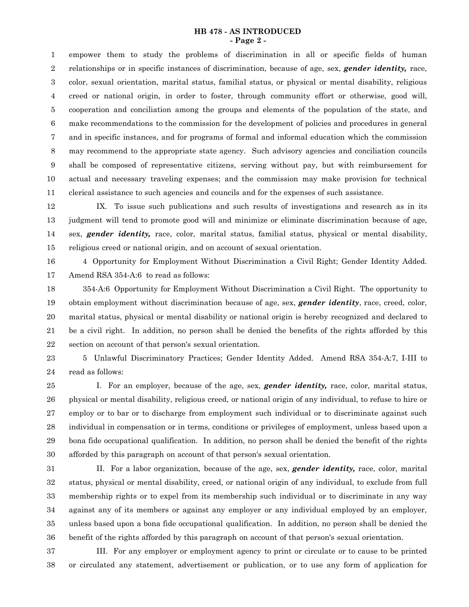#### **HB 478 - AS INTRODUCED - Page 2 -**

empower them to study the problems of discrimination in all or specific fields of human relationships or in specific instances of discrimination, because of age, sex, *gender identity,* race, color, sexual orientation, marital status, familial status, or physical or mental disability, religious creed or national origin, in order to foster, through community effort or otherwise, good will, cooperation and conciliation among the groups and elements of the population of the state, and make recommendations to the commission for the development of policies and procedures in general and in specific instances, and for programs of formal and informal education which the commission may recommend to the appropriate state agency. Such advisory agencies and conciliation councils shall be composed of representative citizens, serving without pay, but with reimbursement for actual and necessary traveling expenses; and the commission may make provision for technical clerical assistance to such agencies and councils and for the expenses of such assistance. 1 2 3 4 5 6 7 8 9 10 11

IX. To issue such publications and such results of investigations and research as in its judgment will tend to promote good will and minimize or eliminate discrimination because of age, sex, *gender identity,* race, color, marital status, familial status, physical or mental disability, religious creed or national origin, and on account of sexual orientation. 12 13 14 15

4 Opportunity for Employment Without Discrimination a Civil Right; Gender Identity Added. Amend RSA 354-A:6 to read as follows: 16 17

354-A:6 Opportunity for Employment Without Discrimination a Civil Right. The opportunity to obtain employment without discrimination because of age, sex, *gender identity*, race, creed, color, marital status, physical or mental disability or national origin is hereby recognized and declared to be a civil right. In addition, no person shall be denied the benefits of the rights afforded by this section on account of that person's sexual orientation. 18 19 20 21 22

5 Unlawful Discriminatory Practices; Gender Identity Added. Amend RSA 354-A:7, I-III to read as follows: 23 24

I. For an employer, because of the age, sex, *gender identity,* race, color, marital status, physical or mental disability, religious creed, or national origin of any individual, to refuse to hire or employ or to bar or to discharge from employment such individual or to discriminate against such individual in compensation or in terms, conditions or privileges of employment, unless based upon a bona fide occupational qualification. In addition, no person shall be denied the benefit of the rights afforded by this paragraph on account of that person's sexual orientation. 25 26 27 28 29 30

II. For a labor organization, because of the age, sex, *gender identity,* race, color, marital status, physical or mental disability, creed, or national origin of any individual, to exclude from full membership rights or to expel from its membership such individual or to discriminate in any way against any of its members or against any employer or any individual employed by an employer, unless based upon a bona fide occupational qualification. In addition, no person shall be denied the benefit of the rights afforded by this paragraph on account of that person's sexual orientation. 31 32 33 34 35 36

III. For any employer or employment agency to print or circulate or to cause to be printed or circulated any statement, advertisement or publication, or to use any form of application for 37 38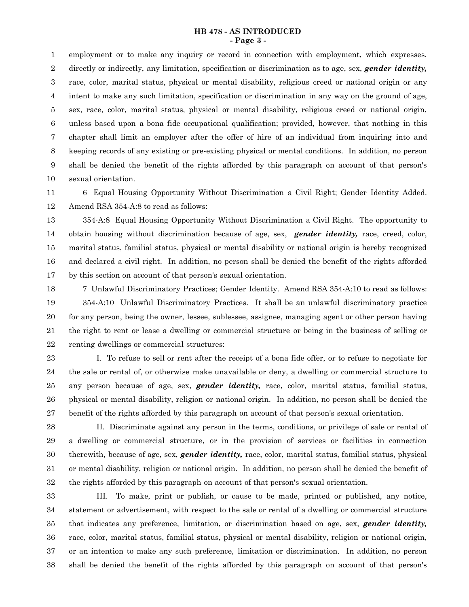#### **HB 478 - AS INTRODUCED - Page 3 -**

employment or to make any inquiry or record in connection with employment, which expresses, directly or indirectly, any limitation, specification or discrimination as to age, sex, *gender identity,* race, color, marital status, physical or mental disability, religious creed or national origin or any intent to make any such limitation, specification or discrimination in any way on the ground of age, sex, race, color, marital status, physical or mental disability, religious creed or national origin, unless based upon a bona fide occupational qualification; provided, however, that nothing in this chapter shall limit an employer after the offer of hire of an individual from inquiring into and keeping records of any existing or pre-existing physical or mental conditions. In addition, no person shall be denied the benefit of the rights afforded by this paragraph on account of that person's sexual orientation. 1 2 3 4 5 6 7 8 9 10

6 Equal Housing Opportunity Without Discrimination a Civil Right; Gender Identity Added. Amend RSA 354-A:8 to read as follows: 11 12

354-A:8 Equal Housing Opportunity Without Discrimination a Civil Right. The opportunity to obtain housing without discrimination because of age, sex, *gender identity,* race, creed, color, marital status, familial status, physical or mental disability or national origin is hereby recognized and declared a civil right. In addition, no person shall be denied the benefit of the rights afforded by this section on account of that person's sexual orientation. 13 14 15 16 17

7 Unlawful Discriminatory Practices; Gender Identity. Amend RSA 354-A:10 to read as follows: 354-A:10 Unlawful Discriminatory Practices. It shall be an unlawful discriminatory practice for any person, being the owner, lessee, sublessee, assignee, managing agent or other person having the right to rent or lease a dwelling or commercial structure or being in the business of selling or renting dwellings or commercial structures: 18 19 20 21 22

I. To refuse to sell or rent after the receipt of a bona fide offer, or to refuse to negotiate for the sale or rental of, or otherwise make unavailable or deny, a dwelling or commercial structure to any person because of age, sex, *gender identity,* race, color, marital status, familial status, physical or mental disability, religion or national origin. In addition, no person shall be denied the benefit of the rights afforded by this paragraph on account of that person's sexual orientation. 23 24 25 26 27

II. Discriminate against any person in the terms, conditions, or privilege of sale or rental of a dwelling or commercial structure, or in the provision of services or facilities in connection therewith, because of age, sex, *gender identity,* race, color, marital status, familial status, physical or mental disability, religion or national origin. In addition, no person shall be denied the benefit of the rights afforded by this paragraph on account of that person's sexual orientation. 28 29 30 31 32

III. To make, print or publish, or cause to be made, printed or published, any notice, statement or advertisement, with respect to the sale or rental of a dwelling or commercial structure that indicates any preference, limitation, or discrimination based on age, sex, *gender identity,* race, color, marital status, familial status, physical or mental disability, religion or national origin, or an intention to make any such preference, limitation or discrimination. In addition, no person shall be denied the benefit of the rights afforded by this paragraph on account of that person's 33 34 35 36 37 38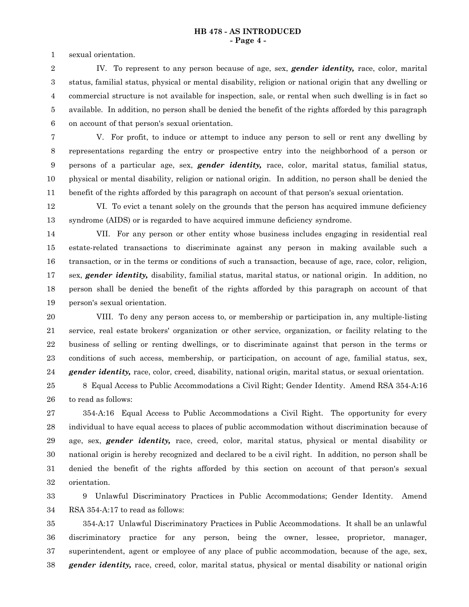sexual orientation. 1

IV. To represent to any person because of age, sex, *gender identity,* race, color, marital status, familial status, physical or mental disability, religion or national origin that any dwelling or commercial structure is not available for inspection, sale, or rental when such dwelling is in fact so available. In addition, no person shall be denied the benefit of the rights afforded by this paragraph on account of that person's sexual orientation. 2 3 4 5 6

7

V. For profit, to induce or attempt to induce any person to sell or rent any dwelling by representations regarding the entry or prospective entry into the neighborhood of a person or persons of a particular age, sex, *gender identity,* race, color, marital status, familial status, physical or mental disability, religion or national origin. In addition, no person shall be denied the benefit of the rights afforded by this paragraph on account of that person's sexual orientation. 8 9 10 11

VI. To evict a tenant solely on the grounds that the person has acquired immune deficiency syndrome (AIDS) or is regarded to have acquired immune deficiency syndrome. 12 13

VII. For any person or other entity whose business includes engaging in residential real estate-related transactions to discriminate against any person in making available such a transaction, or in the terms or conditions of such a transaction, because of age, race, color, religion, sex, *gender identity,* disability, familial status, marital status, or national origin. In addition, no person shall be denied the benefit of the rights afforded by this paragraph on account of that person's sexual orientation. 14 15 16 17 18 19

VIII. To deny any person access to, or membership or participation in, any multiple-listing service, real estate brokers' organization or other service, organization, or facility relating to the business of selling or renting dwellings, or to discriminate against that person in the terms or conditions of such access, membership, or participation, on account of age, familial status, sex, *gender identity,* race, color, creed, disability, national origin, marital status, or sexual orientation. 20 21 22 23 24

8 Equal Access to Public Accommodations a Civil Right; Gender Identity. Amend RSA 354-A:16 to read as follows: 25 26

354-A:16 Equal Access to Public Accommodations a Civil Right. The opportunity for every individual to have equal access to places of public accommodation without discrimination because of age, sex, *gender identity,* race, creed, color, marital status, physical or mental disability or national origin is hereby recognized and declared to be a civil right. In addition, no person shall be denied the benefit of the rights afforded by this section on account of that person's sexual orientation. 27 28 29 30 31 32

9 Unlawful Discriminatory Practices in Public Accommodations; Gender Identity. Amend RSA 354-A:17 to read as follows: 33 34

354-A:17 Unlawful Discriminatory Practices in Public Accommodations. It shall be an unlawful discriminatory practice for any person, being the owner, lessee, proprietor, manager, superintendent, agent or employee of any place of public accommodation, because of the age, sex, *gender identity,* race, creed, color, marital status, physical or mental disability or national origin 35 36 37 38